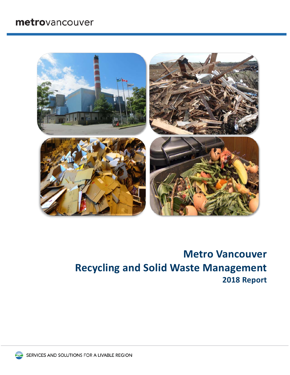## metrovancouver



# **Metro Vancouver Recycling and Solid Waste Management 2018 Report**

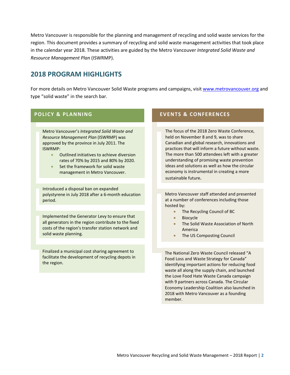Metro Vancouver is responsible for the planning and management of recycling and solid waste services for the region. This document provides a summary of recycling and solid waste management activities that took place in the calendar year 2018. These activities are guided by the Metro Vancouver *Integrated Solid Waste and Resource Management Plan* (ISWRMP).

### **2018 PROGRAM HIGHLIGHTS**

For more details on Metro Vancouver Solid Waste programs and campaigns, visi[t www.metrovancouver.org](http://www.metrovancouver.org/) and type "solid waste" in the search bar.

#### **POLICY & PLANNING**

Metro Vancouver's *Integrated Solid Waste and Resource Management Plan* (ISWRMP) was approved by the province in July 2011. The ISWRMP:

- Outlined initiatives to achieve diversion rates of 70% by 2015 and 80% by 2020.
- Set the framework for solid waste management in Metro Vancouver.

Introduced a disposal ban on expanded polystyrene in July 2018 after a 6-month education period.

Implemented the Generator Levy to ensure that all generators in the region contribute to the fixed costs of the region's transfer station network and solid waste planning.

Finalized a municipal cost sharing agreement to facilitate the development of recycling depots in the region.

#### **EVENTS & CONFERENCES**

The focus of the 2018 Zero Waste Conference, held on November 8 and 9, was to share Canadian and global research, innovations and practices that will inform a future without waste. The more than 500 attendees left with a greater understanding of promising waste prevention ideas and solutions as well as how the circular economy is instrumental in creating a more sustainable future.

Metro Vancouver staff attended and presented at a number of conferences including those hosted by:

- The Recycling Council of BC
- **Biocycle**
- The Solid Waste Association of North America
- The US Composting Council

The National Zero Waste Council released "A Food Loss and Waste Strategy for Canada" identifying important actions for reducing food waste all along the supply chain, and launched the Love Food Hate Waste Canada campaign with 9 partners across Canada. The Circular Economy Leadership Coalition also launched in 2018 with Metro Vancouver as a founding member.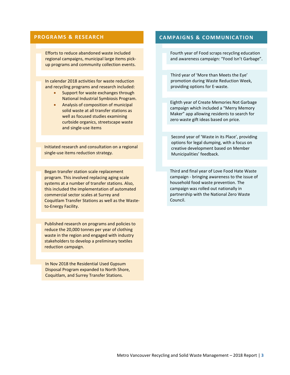#### **PROGRAMS & RESEARCH**

Efforts to reduce abandoned waste included regional campaigns, municipal large items pickup programs and community collection events.

In calendar 2018 activities for waste reduction and recycling programs and research included:

- Support for waste exchanges through National Industrial Symbiosis Program.
- Analysis of composition of municipal solid waste at all transfer stations as well as focused studies examining curbside organics, streetscape waste and single-use items

Initiated research and consultation on a regional single-use items reduction strategy.

Began transfer station scale replacement program. This involved replacing aging scale systems at a number of transfer stations. Also, this included the implementation of automated commercial sector scales at Surrey and Coquitlam Transfer Stations as well as the Wasteto-Energy Facility.

Published research on programs and policies to reduce the 20,000 tonnes per year of clothing waste in the region and engaged with industry stakeholders to develop a preliminary textiles reduction campaign.

In Nov 2018 the Residential Used Gypsum Disposal Program expanded to North Shore, Coquitlam, and Surrey Transfer Stations.

#### **CAMPAIGNS & COMMUNICATION**

Fourth year of Food scraps recycling education and awareness campaign: "Food Isn't Garbage".

Third year of 'More than Meets the Eye' promotion during Waste Reduction Week, providing options for E-waste.

Eighth year of Create Memories Not Garbage campaign which included a "Merry Memory Maker" app allowing residents to search for zero waste gift ideas based on price.

Second year of 'Waste in its Place', providing options for legal dumping, with a focus on creative development based on Member Municipalities' feedback.

Third and final year of Love Food Hate Waste campaign - bringing awareness to the issue of household food waste prevention. The campaign was rolled out nationally in partnership with the National Zero Waste Council.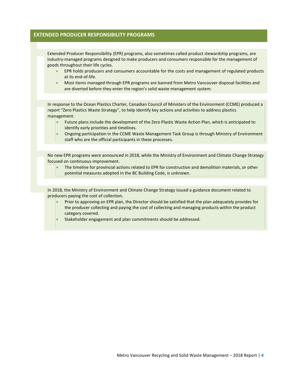#### **EXTENDED PRODUCER RESPONSIBILITY PROGRAMS**

Extended Producer Responsibility (EPR) programs, also sometimes called product stewardship programs, are industry-managed programs designed to make producers and consumers responsible for the management of goods throughout their life cycles.

- EPR holds producers and consumers accountable for the costs and management of regulated products at its end-of-life.
- Most items managed through EPR programs are banned from Metro Vancouver disposal facilities and are diverted before they enter the region's solid waste management system.

In response to the Ocean Plastics Charter, Canadian Council of Ministers of the Environment (CCME) produced a report "Zero Plastics Waste Strategy", to help identify key actions and activities to address plastics management.

- Future plans include the development of the Zero Plastic Waste Action Plan, which is anticipated to identify early priorities and timelines.
- Ongoing participation in the CCME Waste Management Task Group is through Ministry of Environment staff who are the official participants in these processes.

No new EPR programs were announced in 2018, while the Ministry of Environment and Climate Change Strategy focused on continuous improvement.

• The timeline for provincial actions related to EPR for construction and demolition materials, or other potential measures adopted in the BC Building Code, is unknown.

In 2018, the Ministry of Environment and Climate Change Strategy issued a guidance document related to producers paying the cost of collection.

- Prior to approving an EPR plan, the Director should be satisfied that the plan adequately provides for the producer collecting and paying the cost of collecting and managing products within the product category covered.
- Stakeholder engagement and plan commitments should be addressed.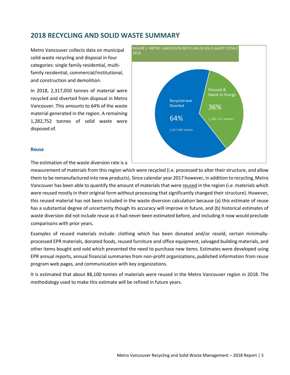## **2018 RECYCLING AND SOLID WASTE SUMMARY**

Metro Vancouver collects data on municipal solid waste recycling and disposal in four categories: single family residential, multifamily residential, commercial/institutional, and construction and demolition.

In 2018, 2,317,050 tonnes of material were recycled and diverted from disposal in Metro Vancouver. This amounts to 64% of the waste material generated in the region. A remaining 1,282,752 tonnes of solid waste were disposed of.



#### **Reuse**

The estimation of the waste diversion rate is a

measurement of materials from this region which were recycled (i.e. processed to alter their structure, and allow them to be remanufactured into new products). Since calendar year 2017 however, in addition to recycling, Metro Vancouver has been able to quantify the amount of materials that were reused in the region (i.e. materials which were reused mostly in their original form without processing that significantly changed their structure). However, this reused material has not been included in the waste diversion calculation because (a) this estimate of reuse has a substantial degree of uncertainty though its accuracy will improve in future, and (b) historical estimates of waste diversion did not include reuse as it had never been estimated before, and including it now would preclude comparisons with prior years.

Examples of reused materials include: clothing which has been donated and/or resold, certain minimallyprocessed EPR materials, donated foods, reused furniture and office equipment, salvaged building materials, and other items bought and sold which prevented the need to purchase new items. Estimates were developed using EPR annual reports, annual financial summaries from non-profit organizations, published information from reuse program web pages, and communication with key organizations.

It is estimated that about 88,100 tonnes of materials were reused in the Metro Vancouver region in 2018. The methodology used to make this estimate will be refined in future years.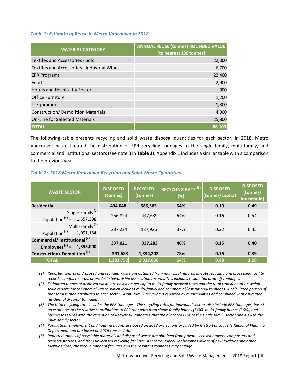#### *Table 1: Estimate of Reuse in Metro Vancouver in 2018*

| <b>MATERIAL CATEGORY</b>                    | <b>ANNUAL REUSE (tonnes) ROUNDED VALUE</b><br>(to nearest 100 tonnes) |
|---------------------------------------------|-----------------------------------------------------------------------|
| Textiles and Accessories - Sold             | 22,000                                                                |
| Textiles and Accessories - Industrial Wipes | 6,700                                                                 |
| <b>EPR Programs</b>                         | 22,400                                                                |
| Food                                        | 2,900                                                                 |
| <b>Hotels and Hospitality Sector</b>        | 900                                                                   |
| Office Furniture                            | 1,200                                                                 |
| <b>IT Equipment</b>                         | 1,300                                                                 |
| <b>Construction/ Demolition Materials</b>   | 4,900                                                                 |
| <b>On-Line for Selected Materials</b>       | 25,800                                                                |
| <b>TOTAL</b>                                | 88,100                                                                |

The following table presents recycling and solid waste disposal quantities for each sector. In 2018, Metro Vancouver has estimated the distribution of EPR recycling tonnages to the single family, multi-family, and commercial and institutional sectors (see note 3 in **Table 2**). Appendix 1 includes a similar table with a comparison to the previous year.

#### *Table 2: 2018 Metro Vancouver Recycling and Solid Waste Quantities*

| <b>WASTE SECTOR</b>                                                              | <b>DISPOSED</b><br>(tonnes) | <b>RECYCLED</b><br>(tonnes) | RECYCLING RATE <sup>(3)</sup><br>(%) | <b>DISPOSED</b><br>(tonnes/capita) | <b>DISPOSED</b><br>(tonnes/<br>household) |
|----------------------------------------------------------------------------------|-----------------------------|-----------------------------|--------------------------------------|------------------------------------|-------------------------------------------|
| <b>Residential</b>                                                               | 494,048                     | 585,565                     | 54%                                  | 0.19                               | 0.49                                      |
| Single Family <sup>(1)</sup><br>Population <sup>(4)</sup> = 1,557,308            | 256,824                     | 447,639                     | 64%                                  | 0.16                               | 0.54                                      |
| Multi-Family <sup>(2)</sup><br>Population <sup>(4)</sup> = 1,091,184             | 237,224                     | 137.926                     | 37%                                  | 0.22                               | 0.45                                      |
| Commercial/ Institutional <sup>(2)</sup><br>Employees <sup>(4)</sup> = 1,355,000 | 397,021                     | 337,283                     | 46%                                  | 0.15                               | 0.40                                      |
| Construction/Demolition <sup>(5)</sup>                                           | 391,683                     | 1,394,202                   | 78%                                  | 0.15                               | 0.39                                      |
| <b>TOTAL</b>                                                                     | 1,282,752                   | 2,317,050                   | 64%                                  | 0.48                               | 1.28                                      |

*(1) Reported tonnes of disposed and recycled waste are obtained from municipal reports, private recycling and processing facility records, landfill records, or product stewardship association records. This includes residential drop-off tonnages.*

*(2) Estimated tonnes of disposed waste are based on per capita multi-family disposal rates and the total transfer station weigh scale reports for commercial waste, which includes multi-family and commercial/institutional tonnages. A calculated portion of that total is then attributed to each sector. Multi-family recycling is reported by municipalities and combined with estimated residential drop-off tonnages.*

*(3) The total recycling rate includes the EPR tonnages. The recycling rates for individual sectors also include EPR tonnages, based on estimates of the relative contributions to EPR tonnages from single family homes (54%), multi-family homes (36%), and businesses (10%) with the exception of Recycle BC tonnages that are allocated 60% to the single family sector and 40% to the multi-family sector.* 

- *(4) Population, employment and housing figures are based on 2018 projections provided by Metro Vancouver's Regional Planning Department and are based on 2016 census data.*
- *(5) Reported tonnes of recyclable materials and disposed waste are obtained from private licensed brokers, composters and transfer stations, and from unlicensed recycling facilities. As Metro Vancouver becomes aware of new facilities and other facilities close, the total number of facilities and the resultant tonnages may change.*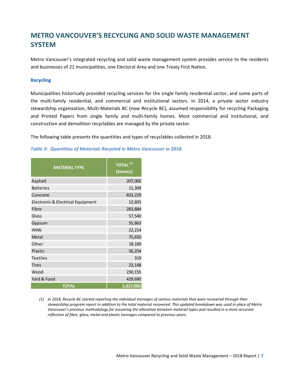## **METRO VANCOUVER'S RECYCLING AND SOLID WASTE MANAGEMENT SYSTEM**

Metro Vancouver's integrated recycling and solid waste management system provides service to the residents and businesses of 21 municipalities, one Electoral Area and one Treaty First Nation.

#### **Recycling**

Municipalities historically provided recycling services for the single family residential sector, and some parts of the multi-family residential, and commercial and institutional sectors. In 2014, a private sector industry stewardship organization, Multi-Materials BC (now Recycle BC), assumed responsibility for recycling Packaging and Printed Papers from single family and multi-family homes. Most commercial and institutional, and construction and demolition recyclables are managed by the private sector.

The following table presents the quantities and types of recyclables collected in 2018.

*Table 3: Quantities of Materials Recycled in Metro Vancouver in 2018*

| <b>MATERIAL TYPE</b>              | TOTAL <sup>(1)</sup><br>(tonnes) |
|-----------------------------------|----------------------------------|
| Asphalt                           | 207,000                          |
| <b>Batteries</b>                  | 11,309                           |
| Concrete                          | 833,229                          |
| Electronic & Electrical Equipment | 12,605                           |
| Fibre                             | 283,884                          |
| Glass                             | 57,540                           |
| Gypsum                            | 55,863                           |
| <b>HHW</b>                        | 22,214                           |
| Metal                             | 75,650                           |
| Other                             | 18,189                           |
| Plastic                           | 56,254                           |
| <b>Textiles</b>                   | 319                              |
| <b>Tires</b>                      | 23,148                           |
| Wood                              | 230,155                          |
| Yard & Food                       | 429,690                          |
| <b>TOTAL</b>                      | 2,317,050                        |

*<sup>(1)</sup> In 2018, Recycle BC started reporting the individual tonnages of various materials that were recovered through their stewardship program report in addition to the total material recovered. This updated breakdown was used in place of Metro Vancouver's previous methodology for assuming the allocation between material types and resulted in a more accurate reflection of fibre, glass, metal and plastic tonnages compared to previous years.*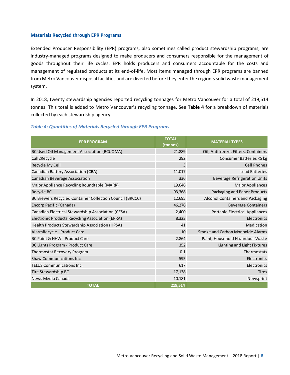#### **Materials Recycled through EPR Programs**

Extended Producer Responsibility (EPR) programs, also sometimes called product stewardship programs, are industry-managed programs designed to make producers and consumers responsible for the management of goods throughout their life cycles. EPR holds producers and consumers accountable for the costs and management of regulated products at its end-of-life. Most items managed through EPR programs are banned from Metro Vancouver disposal facilities and are diverted before they enter the region's solid waste management system.

In 2018, twenty stewardship agencies reported recycling tonnages for Metro Vancouver for a total of 219,514 tonnes. This total is added to Metro Vancouver's recycling tonnage. See **Table 4** for a breakdown of materials collected by each stewardship agency.

#### *Table 4: Quantities of Materials Recycled through EPR Programs*

| <b>EPR PROGRAM</b>                                       | <b>TOTAL</b><br>(tonnes) | <b>MATERIAL TYPES</b>                 |
|----------------------------------------------------------|--------------------------|---------------------------------------|
| BC Used Oil Management Association (BCUOMA)              | 21,889                   | Oil, Antifreeze, Filters, Containers  |
| Call2Recycle                                             | 292                      | Consumer Batteries <5 kg              |
| Recycle My Cell                                          | 3                        | <b>Cell Phones</b>                    |
| Canadian Battery Association (CBA)                       | 11,017                   | <b>Lead Batteries</b>                 |
| Canadian Beverage Association                            | 336                      | <b>Beverage Refrigeration Units</b>   |
| Major Appliance Recycling Roundtable (MARR)              | 19,646                   | <b>Major Appliances</b>               |
| Recycle BC                                               | 93,368                   | <b>Packaging and Paper Products</b>   |
| BC Brewers Recycled Container Collection Council (BRCCC) | 12,695                   | Alcohol Containers and Packaging      |
| Encorp Pacific (Canada)                                  | 46,276                   | <b>Beverage Containers</b>            |
| Canadian Electrical Stewardship Association (CESA)       | 2,400                    | <b>Portable Electrical Appliances</b> |
| Electronic Products Recycling Association (EPRA)         | 8,323                    | Electronics                           |
| Health Products Stewardship Association (HPSA)           | 41                       | Medication                            |
| AlarmRecycle - Product Care                              | 10                       | Smoke and Carbon Monoxide Alarms      |
| <b>BC Paint &amp; HHW - Product Care</b>                 | 2,864                    | Paint, Household Hazardous Waste      |
| BC Lights Program - Product Care                         | 352                      | Lighting and Light Fixtures           |
| Thermostat Recovery Program                              | 0.1                      | Thermostats                           |
| <b>Shaw Communications Inc.</b>                          | 595                      | Electronics                           |
| <b>TELUS Communications Inc.</b>                         | 617                      | Electronics                           |
| Tire Stewardship BC                                      | 17,138                   | <b>Tires</b>                          |
| News Media Canada                                        | 10,181                   | Newsprint                             |
| <b>TOTAL</b>                                             | 219,514                  |                                       |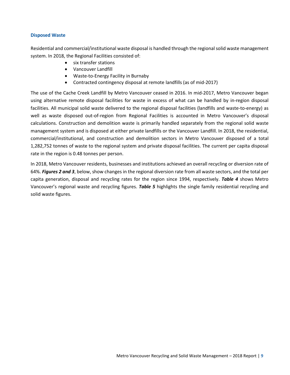#### **Disposed Waste**

Residential and commercial/institutional waste disposal is handled through the regional solid waste management system. In 2018, the Regional Facilities consisted of:

- six transfer stations
- Vancouver Landfill
- Waste-to-Energy Facility in Burnaby
- Contracted contingency disposal at remote landfills (as of mid-2017)

The use of the Cache Creek Landfill by Metro Vancouver ceased in 2016. In mid-2017, Metro Vancouver began using alternative remote disposal facilities for waste in excess of what can be handled by in-region disposal facilities. All municipal solid waste delivered to the regional disposal facilities (landfills and waste-to-energy) as well as waste disposed out-of-region from Regional Facilities is accounted in Metro Vancouver's disposal calculations. Construction and demolition waste is primarily handled separately from the regional solid waste management system and is disposed at either private landfills or the Vancouver Landfill. In 2018, the residential, commercial/institutional, and construction and demolition sectors in Metro Vancouver disposed of a total 1,282,752 tonnes of waste to the regional system and private disposal facilities. The current per capita disposal rate in the region is 0.48 tonnes per person.

In 2018, Metro Vancouver residents, businesses and institutions achieved an overall recycling or diversion rate of 64%. *Figures 2 and 3*, below, show changes in the regional diversion rate from all waste sectors, and the total per capita generation, disposal and recycling rates for the region since 1994, respectively. *Table 4* shows Metro Vancouver's regional waste and recycling figures. *Table 5* highlights the single family residential recycling and solid waste figures.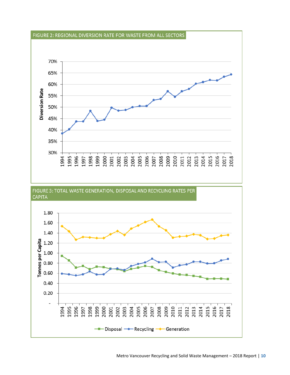

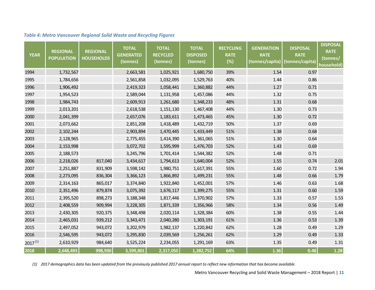| <b>YEAR</b>  | <b>REGIONAL</b><br><b>POPULATION</b> | <b>REGIONAL</b><br><b>HOUSEHOLDS</b> | <b>TOTAL</b><br><b>GENERATED</b><br>(tonnes) | <b>TOTAL</b><br><b>RECYCLED</b><br>(tonnes) | <b>TOTAL</b><br><b>DISPOSED</b><br>(tonnes) | <b>RECYCLING</b><br><b>RATE</b><br>(%) | <b>GENERATION</b><br><b>RATE</b><br>(tonnes/capita) | <b>DISPOSAL</b><br><b>RATE</b><br>(tonnes/capita) | <b>DISPOSAL</b><br><b>RATE</b><br>(tonnes/<br>household) |
|--------------|--------------------------------------|--------------------------------------|----------------------------------------------|---------------------------------------------|---------------------------------------------|----------------------------------------|-----------------------------------------------------|---------------------------------------------------|----------------------------------------------------------|
| 1994         | 1,732,567                            |                                      | 2,663,581                                    | 1,025,921                                   | 1,680,750                                   | 39%                                    | 1.54                                                | 0.97                                              |                                                          |
| 1995         | 1,784,656                            |                                      | 2,561,858                                    | 1,032,095                                   | 1,529,763                                   | 40%                                    | 1.44                                                | 0.86                                              |                                                          |
| 1996         | 1,906,492                            |                                      | 2,419,323                                    | 1,058,441                                   | 1,360,882                                   | 44%                                    | 1.27                                                | 0.71                                              |                                                          |
| 1997         | 1,954,523                            |                                      | 2,589,044                                    | 1,131,958                                   | 1,457,086                                   | 44%                                    | 1.32                                                | 0.75                                              |                                                          |
| 1998         | 1,984,743                            |                                      | 2,609,913                                    | 1,261,680                                   | 1,348,233                                   | 48%                                    | 1.31                                                | 0.68                                              |                                                          |
| 1999         | 2,013,201                            |                                      | 2,618,538                                    | 1,151,130                                   | 1,467,408                                   | 44%                                    | 1.30                                                | 0.73                                              |                                                          |
| 2000         | 2,041,399                            |                                      | 2,657,076                                    | 1,183,611                                   | 1,473,465                                   | 45%                                    | 1.30                                                | 0.72                                              |                                                          |
| 2001         | 2,073,662                            |                                      | 2,851,208                                    | 1,418,489                                   | 1,432,719                                   | 50%                                    | 1.37                                                | 0.69                                              |                                                          |
| 2002         | 2,102,244                            |                                      | 2,903,894                                    | 1,470,445                                   | 1,433,449                                   | 51%                                    | 1.38                                                | 0.68                                              |                                                          |
| 2003         | 2,128,965                            |                                      | 2,775,455                                    | 1,414,390                                   | 1,361,065                                   | 51%                                    | 1.30                                                | 0.64                                              |                                                          |
| 2004         | 2,153,998                            |                                      | 3,072,702                                    | 1,595,999                                   | 1,476,703                                   | 52%                                    | 1.43                                                | 0.69                                              |                                                          |
| 2005         | 2,188,573                            |                                      | 3,245,796                                    | 1,701,414                                   | 1,544,382                                   | 52%                                    | 1.48                                                | 0.71                                              |                                                          |
| 2006         | 2,218,026                            | 817,040                              | 3,434,617                                    | 1,794,613                                   | 1,640,004                                   | 52%                                    | 1.55                                                | 0.74                                              | 2.01                                                     |
| 2007         | 2,251,887                            | 831,909                              | 3,598,142                                    | 1,980,751                                   | 1,617,391                                   | 55%                                    | 1.60                                                | 0.72                                              | 1.94                                                     |
| 2008         | 2,273,095                            | 836,304                              | 3,366,123                                    | 1,866,892                                   | 1,499,231                                   | 55%                                    | 1.48                                                | 0.66                                              | 1.79                                                     |
| 2009         | 2,314,163                            | 865,017                              | 3,374,840                                    | 1,922,840                                   | 1,452,001                                   | 57%                                    | 1.46                                                | 0.63                                              | 1.68                                                     |
| 2010         | 2,351,496                            | 879,874                              | 3,075,392                                    | 1,676,117                                   | 1,399,275                                   | 55%                                    | 1.31                                                | 0.60                                              | 1.59                                                     |
| 2011         | 2,395,520                            | 898,273                              | 3,188,348                                    | 1,817,446                                   | 1,370,902                                   | 57%                                    | 1.33                                                | 0.57                                              | 1.53                                                     |
| 2012         | 2,408,559                            | 909,994                              | 3,228,305                                    | 1,871,339                                   | 1,356,966                                   | 58%                                    | 1.34                                                | 0.56                                              | 1.49                                                     |
| 2013         | 2,430,305                            | 920,375                              | 3,348,498                                    | 2,020,114                                   | 1,328,384                                   | 60%                                    | 1.38                                                | 0.55                                              | 1.44                                                     |
| 2014         | 2,465,031                            | 939,212                              | 3,343,471                                    | 2,040,280                                   | 1,303,191                                   | 61%                                    | 1.36                                                | 0.53                                              | 1.39                                                     |
| 2015         | 2,497,052                            | 943,072                              | 3,202,979                                    | 1,982,137                                   | 1,220,842                                   | 62%                                    | 1.28                                                | 0.49                                              | 1.29                                                     |
| 2016         | 2,546,595                            | 943,072                              | 3,295,830                                    | 2,039,569                                   | 1,256,261                                   | 62%                                    | 1.29                                                | 0.49                                              | 1.33                                                     |
| $2017^{(1)}$ | 2,610,929                            | 984,640                              | 3,525,224                                    | 2,234,055                                   | 1,291,169                                   | 63%                                    | 1.35                                                | 0.49                                              | 1.31                                                     |
| 2018         | 2,648,493                            | 998,930                              | 3,599,801                                    | 2,317,050                                   | 1,282,752                                   | 64%                                    | 1.36                                                | 0.48                                              | $1.28$                                                   |

#### *Table 4: Metro Vancouver Regional Solid Waste and Recycling Figures*

*(1) 2017 demographics data has been updated from the previously published 2017 annual report to reflect new information that has become available.*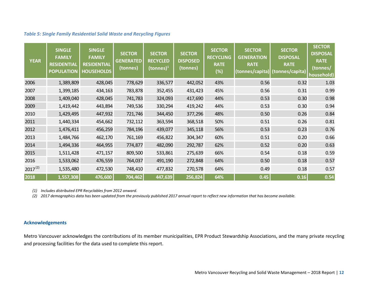#### *Table 5: Single Family Residential Solid Waste and Recycling Figures*

| <b>YEAR</b>  | <b>SINGLE</b><br><b>FAMILY</b><br><b>RESIDENTIAL</b><br><b>POPULATION</b> | <b>SINGLE</b><br><b>FAMILY</b><br><b>RESIDENTIAL</b><br><b>HOUSEHOLDS</b> | <b>SECTOR</b><br><b>GENERATED</b><br>(tonnes) | <b>SECTOR</b><br><b>RECYCLED</b><br>(tonnes) $1$ | <b>SECTOR</b><br><b>DISPOSED</b><br>(tonnes) | <b>SECTOR</b><br><b>RECYCLING</b><br><b>RATE</b><br>(%) | <b>SECTOR</b><br><b>GENERATION</b><br><b>RATE</b><br>(tonnes/capita) | <b>SECTOR</b><br><b>DISPOSAL</b><br><b>RATE</b><br>(tonnes/capita) | <b>SECTOR</b><br><b>DISPOSAL</b><br><b>RATE</b><br>(tonnes/<br>household) |
|--------------|---------------------------------------------------------------------------|---------------------------------------------------------------------------|-----------------------------------------------|--------------------------------------------------|----------------------------------------------|---------------------------------------------------------|----------------------------------------------------------------------|--------------------------------------------------------------------|---------------------------------------------------------------------------|
| 2006         | 1,389,809                                                                 | 428,045                                                                   | 778,629                                       | 336,577                                          | 442,052                                      | 43%                                                     | 0.56                                                                 | 0.32                                                               | 1.03                                                                      |
| 2007         | 1,399,185                                                                 | 434,163                                                                   | 783,878                                       | 352,455                                          | 431,423                                      | 45%                                                     | 0.56                                                                 | 0.31                                                               | 0.99                                                                      |
| 2008         | 1,409,040                                                                 | 428,045                                                                   | 741,783                                       | 324,093                                          | 417,690                                      | 44%                                                     | 0.53                                                                 | 0.30                                                               | 0.98                                                                      |
| 2009         | 1,419,442                                                                 | 443,894                                                                   | 749,536                                       | 330,294                                          | 419,242                                      | 44%                                                     | 0.53                                                                 | 0.30                                                               | 0.94                                                                      |
| 2010         | 1,429,495                                                                 | 447,932                                                                   | 721,746                                       | 344,450                                          | 377,296                                      | 48%                                                     | 0.50                                                                 | 0.26                                                               | 0.84                                                                      |
| 2011         | 1,440,334                                                                 | 454,662                                                                   | 732,112                                       | 363,594                                          | 368,518                                      | 50%                                                     | 0.51                                                                 | 0.26                                                               | 0.81                                                                      |
| 2012         | 1,476,411                                                                 | 456,259                                                                   | 784,196                                       | 439,077                                          | 345,118                                      | 56%                                                     | 0.53                                                                 | 0.23                                                               | 0.76                                                                      |
| 2013         | 1,484,766                                                                 | 462,170                                                                   | 761,169                                       | 456,822                                          | 304,347                                      | 60%                                                     | 0.51                                                                 | 0.20                                                               | 0.66                                                                      |
| 2014         | 1,494,336                                                                 | 464,955                                                                   | 774,877                                       | 482,090                                          | 292,787                                      | 62%                                                     | 0.52                                                                 | 0.20                                                               | 0.63                                                                      |
| 2015         | 1,511,428                                                                 | 471,157                                                                   | 809,500                                       | 533,861                                          | 275,639                                      | 66%                                                     | 0.54                                                                 | 0.18                                                               | 0.59                                                                      |
| 2016         | 1,533,062                                                                 | 476,559                                                                   | 764,037                                       | 491,190                                          | 272,848                                      | 64%                                                     | 0.50                                                                 | 0.18                                                               | 0.57                                                                      |
| $2017^{(2)}$ | 1,535,480                                                                 | 472,530                                                                   | 748,410                                       | 477,832                                          | 270,578                                      | 64%                                                     | 0.49                                                                 | 0.18                                                               | 0.57                                                                      |
| 2018         | 1,557,308                                                                 | 476,600                                                                   | 704,462                                       | 447,639                                          | 256,824                                      | 64%                                                     | 0.45                                                                 | 0.16                                                               | 0.54                                                                      |

*(1) Includes distributed EPR Recyclables from 2012 onward.*

*(2) 2017 demographics data has been updated from the previously published 2017 annual report to reflect new information that has become available.*

#### **Acknowledgements**

Metro Vancouver acknowledges the contributions of its member municipalities, EPR Product Stewardship Associations, and the many private recycling and processing facilities for the data used to complete this report.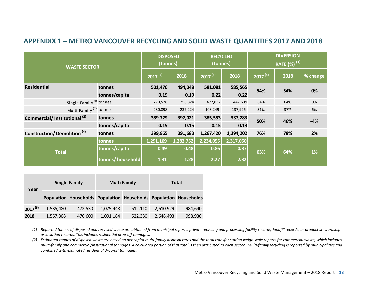## **APPENDIX 1 – METRO VANCOUVER RECYCLING AND SOLID WASTE QUANTITIES 2017 AND 2018**

| <b>WASTE SECTOR</b>                     |                  | <b>DISPOSED</b><br>(tonnes) |           | <b>RECYCLED</b><br>(tonnes) |           | <b>DIVERSION</b><br>$\overline{\mathsf{RATE}}$ (%) $^{(3)}$ |      |          |
|-----------------------------------------|------------------|-----------------------------|-----------|-----------------------------|-----------|-------------------------------------------------------------|------|----------|
|                                         |                  | $2017^{(5)}$                | 2018      | $2017^{(5)}$                | 2018      | $2017^{(5)}$                                                | 2018 | % change |
| <b>Residential</b>                      | tonnes           | 501,476                     | 494,048   | 581,081                     | 585,565   | 54%                                                         | 54%  | 0%       |
|                                         | tonnes/capita    | 0.19                        | 0.19      | 0.22                        | 0.22      |                                                             |      |          |
| Single Family <sup>(1)</sup> tonnes     |                  | 270,578                     | 256,824   | 477,832                     | 447,639   | 64%                                                         | 64%  | 0%       |
| Multi-Family <sup>(2)</sup> tonnes      |                  | 230,898                     | 237,224   | 103,249                     | 137,926   | 31%                                                         | 37%  | 6%       |
| Commercial/Institutional <sup>(2)</sup> | tonnes           | 389,729                     | 397,021   | 385,553                     | 337,283   | 50%                                                         | 46%  | $-4%$    |
|                                         | tonnes/capita    | 0.15                        | 0.15      | 0.15                        | 0.13      |                                                             |      |          |
| <b>Construction/Demolition (4)</b>      | tonnes           | 399,965                     | 391,683   | 1,267,420                   | 1,394,202 | 76%                                                         | 78%  | 2%       |
|                                         | tonnes           | 1,291,169                   | 1,282,752 | 2,234,055                   | 2,317,050 |                                                             |      |          |
| <b>Total</b>                            | tonnes/capita    | 0.49                        | 0.48      | 0.86                        | 0.87      | 63%                                                         | 64%  | 1%       |
|                                         | tonnes/household | 1.31                        | 1.28      | 2.27                        | 2.32      |                                                             |      |          |

| Year         | <b>Single Family</b> |         |           | <b>Multi Family</b>                                    | <b>Total</b> |                   |  |
|--------------|----------------------|---------|-----------|--------------------------------------------------------|--------------|-------------------|--|
|              |                      |         |           | Population Households Population Households Population |              | <b>Households</b> |  |
| $2017^{(5)}$ | 1,535,480            | 472,530 | 1,075,448 | 512,110                                                | 2,610,929    | 984,640           |  |
| 2018         | 1,557,308            | 476,600 | 1,091,184 | 522,330                                                | 2,648,493    | 998,930           |  |

*(1) Reported tonnes of disposed and recycled waste are obtained from municipal reports, private recycling and processing facility records, landfill records, or product stewardship association records. This includes residential drop-off tonnages.*

*(2) Estimated tonnes of disposed waste are based on per capita multi-family disposal rates and the total transfer station weigh scale reports for commercial waste, which includes multi-family and commercial/institutional tonnages. A calculated portion of that total is then attributed to each sector. Multi-family recycling is reported by municipalities and combined with estimated residential drop-off tonnages.*